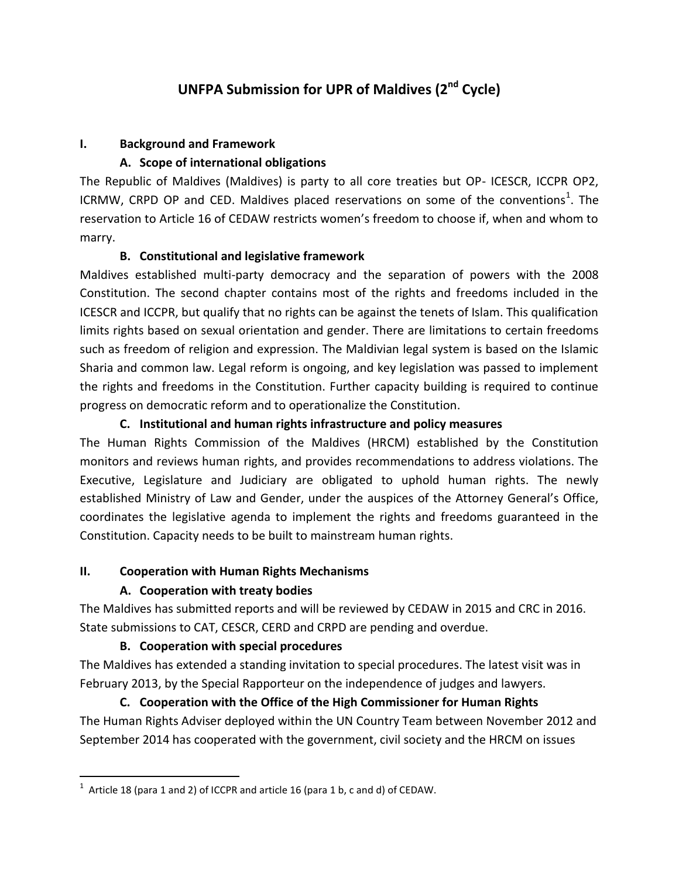# **UNFPA Submission for UPR of Maldives (2nd Cycle)**

#### **I. Background and Framework**

### **A. Scope of international obligations**

The Republic of Maldives (Maldives) is party to all core treaties but OP- ICESCR, ICCPR OP2, ICRMW, CRPD OP and CED. Maldives placed reservations on some of the conventions<sup>1</sup>. The reservation to Article 16 of CEDAW restricts women's freedom to choose if, when and whom to marry.

### **B. Constitutional and legislative framework**

Maldives established multi-party democracy and the separation of powers with the 2008 Constitution. The second chapter contains most of the rights and freedoms included in the ICESCR and ICCPR, but qualify that no rights can be against the tenets of Islam. This qualification limits rights based on sexual orientation and gender. There are limitations to certain freedoms such as freedom of religion and expression. The Maldivian legal system is based on the Islamic Sharia and common law. Legal reform is ongoing, and key legislation was passed to implement the rights and freedoms in the Constitution. Further capacity building is required to continue progress on democratic reform and to operationalize the Constitution.

### **C. Institutional and human rights infrastructure and policy measures**

The Human Rights Commission of the Maldives (HRCM) established by the Constitution monitors and reviews human rights, and provides recommendations to address violations. The Executive, Legislature and Judiciary are obligated to uphold human rights. The newly established Ministry of Law and Gender, under the auspices of the Attorney General's Office, coordinates the legislative agenda to implement the rights and freedoms guaranteed in the Constitution. Capacity needs to be built to mainstream human rights.

#### **II. Cooperation with Human Rights Mechanisms**

#### **A. Cooperation with treaty bodies**

 $\overline{\phantom{a}}$ 

The Maldives has submitted reports and will be reviewed by CEDAW in 2015 and CRC in 2016. State submissions to CAT, CESCR, CERD and CRPD are pending and overdue.

## **B. Cooperation with special procedures**

The Maldives has extended a standing invitation to special procedures. The latest visit was in February 2013, by the Special Rapporteur on the independence of judges and lawyers.

# **C. Cooperation with the Office of the High Commissioner for Human Rights** The Human Rights Adviser deployed within the UN Country Team between November 2012 and September 2014 has cooperated with the government, civil society and the HRCM on issues

<sup>&</sup>lt;sup>1</sup> Article 18 (para 1 and 2) of ICCPR and article 16 (para 1 b, c and d) of CEDAW.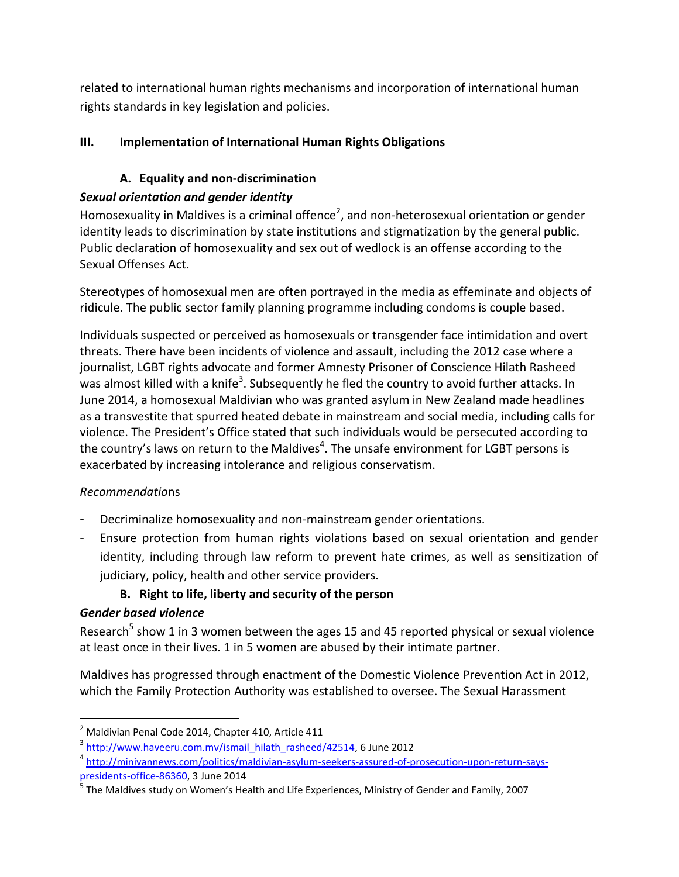related to international human rights mechanisms and incorporation of international human rights standards in key legislation and policies.

# **III. Implementation of International Human Rights Obligations**

# **A. Equality and non-discrimination**

# *Sexual orientation and gender identity*

Homosexuality in Maldives is a criminal offence<sup>2</sup>, and non-heterosexual orientation or gender identity leads to discrimination by state institutions and stigmatization by the general public. Public declaration of homosexuality and sex out of wedlock is an offense according to the Sexual Offenses Act.

Stereotypes of homosexual men are often portrayed in the media as effeminate and objects of ridicule. The public sector family planning programme including condoms is couple based.

Individuals suspected or perceived as homosexuals or transgender face intimidation and overt threats. There have been incidents of violence and assault, including the 2012 case where a journalist, LGBT rights advocate and former Amnesty Prisoner of Conscience Hilath Rasheed was almost killed with a knife<sup>3</sup>. Subsequently he fled the country to avoid further attacks. In June 2014, a homosexual Maldivian who was granted asylum in New Zealand made headlines as a transvestite that spurred heated debate in mainstream and social media, including calls for violence. The President's Office stated that such individuals would be persecuted according to the country's laws on return to the Maldives<sup>4</sup>. The unsafe environment for LGBT persons is exacerbated by increasing intolerance and religious conservatism.

## *Recommendatio*ns

- Decriminalize homosexuality and non-mainstream gender orientations.
- Ensure protection from human rights violations based on sexual orientation and gender identity, including through law reform to prevent hate crimes, as well as sensitization of judiciary, policy, health and other service providers.

# **B. Right to life, liberty and security of the person**

## *Gender based violence*

 $\overline{\phantom{a}}$ 

Research<sup>5</sup> show 1 in 3 women between the ages 15 and 45 reported physical or sexual violence at least once in their lives. 1 in 5 women are abused by their intimate partner.

Maldives has progressed through enactment of the Domestic Violence Prevention Act in 2012, which the Family Protection Authority was established to oversee. The Sexual Harassment

 $^2$  Maldivian Penal Code 2014, Chapter 410, Article 411

<sup>&</sup>lt;sup>3</sup> [http://www.haveeru.com.mv/ismail\\_hilath\\_rasheed/42514,](http://www.haveeru.com.mv/ismail_hilath_rasheed/42514) 6 June 2012

<sup>4</sup> [http://minivannews.com/politics/maldivian-asylum-seekers-assured-of-prosecution-upon-return-says](http://minivannews.com/politics/maldivian-asylum-seekers-assured-of-prosecution-upon-return-says-presidents-office-86360)[presidents-office-86360,](http://minivannews.com/politics/maldivian-asylum-seekers-assured-of-prosecution-upon-return-says-presidents-office-86360) 3 June 2014

<sup>&</sup>lt;sup>5</sup> The Maldives study on Women's Health and Life Experiences, Ministry of Gender and Family, 2007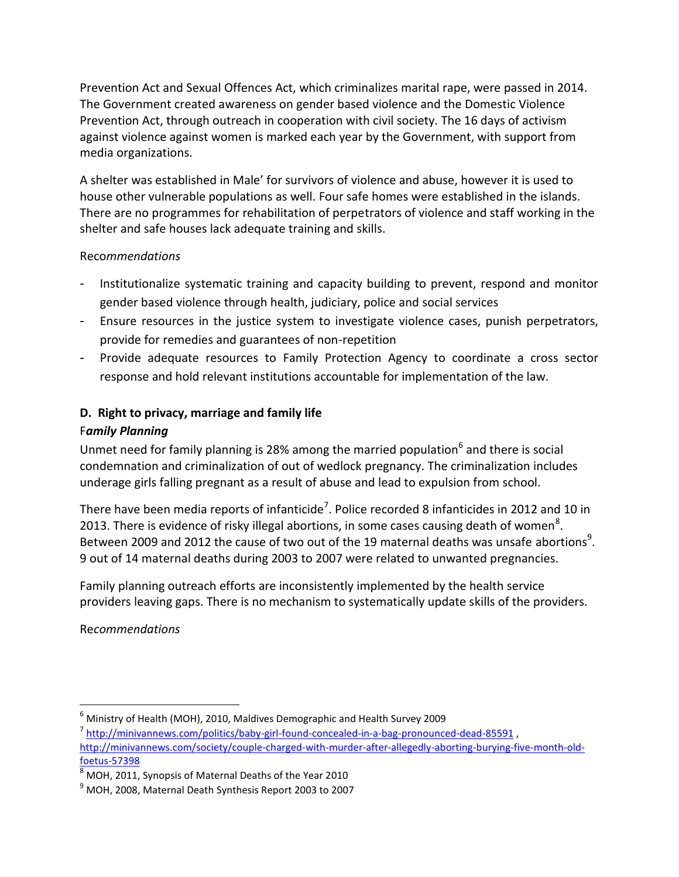Prevention Act and Sexual Offences Act, which criminalizes marital rape, were passed in 2014. The Government created awareness on gender based violence and the Domestic Violence Prevention Act, through outreach in cooperation with civil society. The 16 days of activism against violence against women is marked each year by the Government, with support from media organizations.

A shelter was established in Male' for survivors of violence and abuse, however it is used to house other vulnerable populations as well. Four safe homes were established in the islands. There are no programmes for rehabilitation of perpetrators of violence and staff working in the shelter and safe houses lack adequate training and skills.

#### Reco*mmendations*

- Institutionalize systematic training and capacity building to prevent, respond and monitor gender based violence through health, judiciary, police and social services
- Ensure resources in the justice system to investigate violence cases, punish perpetrators, provide for remedies and guarantees of non-repetition
- Provide adequate resources to Family Protection Agency to coordinate a cross sector response and hold relevant institutions accountable for implementation of the law.

## **D. Right to privacy, marriage and family life**

### F*amily Planning*

Unmet need for family planning is 28% among the married population<sup>6</sup> and there is social condemnation and criminalization of out of wedlock pregnancy. The criminalization includes underage girls falling pregnant as a result of abuse and lead to expulsion from school.

There have been media reports of infanticide<sup>7</sup>. Police recorded 8 infanticides in 2012 and 10 in 2013. There is evidence of risky illegal abortions, in some cases causing death of women<sup>8</sup>. Between 2009 and 2012 the cause of two out of the 19 maternal deaths was unsafe abortions<sup>9</sup>. 9 out of 14 maternal deaths during 2003 to 2007 were related to unwanted pregnancies.

Family planning outreach efforts are inconsistently implemented by the health service providers leaving gaps. There is no mechanism to systematically update skills of the providers.

Re*commendations*

 $\overline{\phantom{a}}$ 

 $^6$  Ministry of Health (MOH), 2010, Maldives Demographic and Health Survey 2009

<sup>&</sup>lt;sup>7</sup> <http://minivannews.com/politics/baby-girl-found-concealed-in-a-bag-pronounced-dead-85591><sub>,</sub> [http://minivannews.com/society/couple-charged-with-murder-after-allegedly-aborting-burying-five-month-old](http://minivannews.com/society/couple-charged-with-murder-after-allegedly-aborting-burying-five-month-old-foetus-57398)[foetus-57398](http://minivannews.com/society/couple-charged-with-murder-after-allegedly-aborting-burying-five-month-old-foetus-57398)

<sup>8</sup> MOH, 2011, Synopsis of Maternal Deaths of the Year 2010

 $9$  MOH, 2008, Maternal Death Synthesis Report 2003 to 2007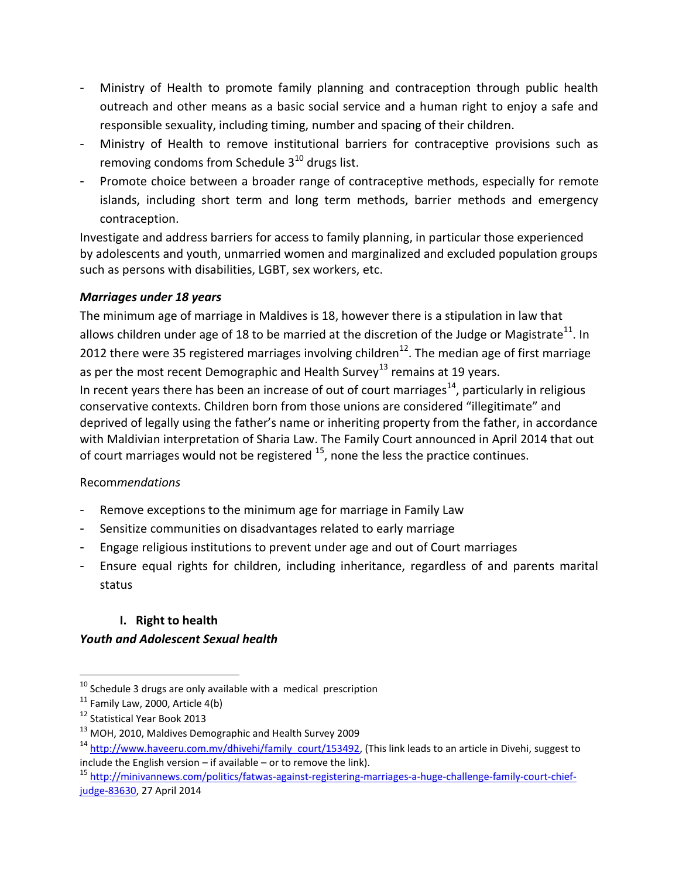- Ministry of Health to promote family planning and contraception through public health outreach and other means as a basic social service and a human right to enjoy a safe and responsible sexuality, including timing, number and spacing of their children.
- Ministry of Health to remove institutional barriers for contraceptive provisions such as removing condoms from Schedule  $3^{10}$  drugs list.
- Promote choice between a broader range of contraceptive methods, especially for remote islands, including short term and long term methods, barrier methods and emergency contraception.

Investigate and address barriers for access to family planning, in particular those experienced by adolescents and youth, unmarried women and marginalized and excluded population groups such as persons with disabilities, LGBT, sex workers, etc.

### *Marriages under 18 years*

The minimum age of marriage in Maldives is 18, however there is a stipulation in law that allows children under age of 18 to be married at the discretion of the Judge or Magistrate<sup>11</sup>. In 2012 there were 35 registered marriages involving children<sup>12</sup>. The median age of first marriage as per the most recent Demographic and Health Survey<sup>13</sup> remains at 19 years. In recent years there has been an increase of out of court marriages<sup>14</sup>, particularly in religious conservative contexts. Children born from those unions are considered "illegitimate" and deprived of legally using the father's name or inheriting property from the father, in accordance with Maldivian interpretation of Sharia Law. The Family Court announced in April 2014 that out of court marriages would not be registered <sup>15</sup>, none the less the practice continues.

#### Recom*mendations*

- Remove exceptions to the minimum age for marriage in Family Law
- Sensitize communities on disadvantages related to early marriage
- Engage religious institutions to prevent under age and out of Court marriages
- Ensure equal rights for children, including inheritance, regardless of and parents marital status

## **I. Right to health**

#### *Youth and Adolescent Sexual health*

l

 $10$  Schedule 3 drugs are only available with a medical prescription

 $11$  Family Law, 2000, Article 4(b)

<sup>&</sup>lt;sup>12</sup> Statistical Year Book 2013

<sup>&</sup>lt;sup>13</sup> MOH, 2010, Maldives Demographic and Health Survey 2009

<sup>&</sup>lt;sup>14</sup> [http://www.haveeru.com.mv/dhivehi/family\\_court/153492,](http://www.haveeru.com.mv/dhivehi/family_court/153492) (This link leads to an article in Divehi, suggest to include the English version – if available – or to remove the link).

<sup>15</sup> [http://minivannews.com/politics/fatwas-against-registering-marriages-a-huge-challenge-family-court-chief](http://minivannews.com/politics/fatwas-against-registering-marriages-a-huge-challenge-family-court-chief-judge-83630)[judge-83630,](http://minivannews.com/politics/fatwas-against-registering-marriages-a-huge-challenge-family-court-chief-judge-83630) 27 April 2014